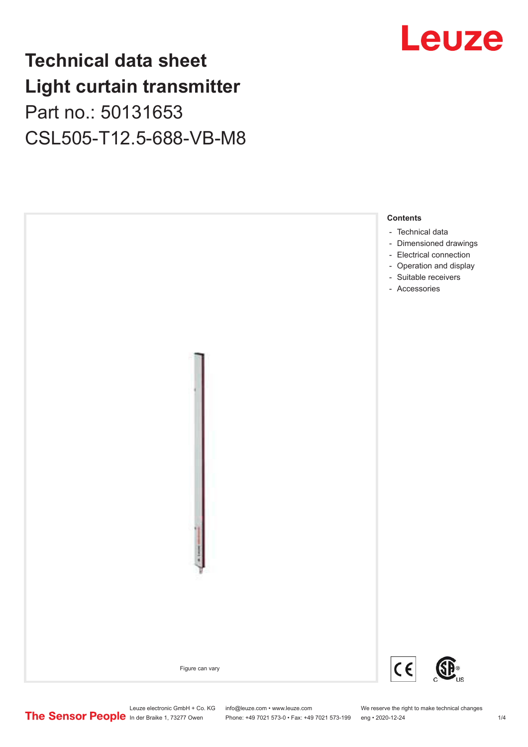## **Technical data sheet Light curtain transmitter** Part no.: 50131653

CSL505-T12.5-688-VB-M8





Phone: +49 7021 573-0 • Fax: +49 7021 573-199 eng • 2020-12-24 1 2020-12-24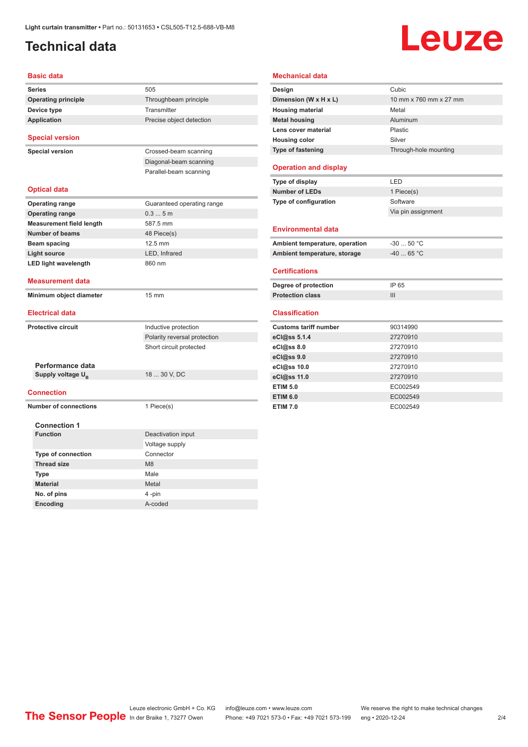### <span id="page-1-0"></span>**Technical data**

# Leuze

| <b>Basic data</b>                        |                                                      |
|------------------------------------------|------------------------------------------------------|
| <b>Series</b>                            | 505                                                  |
| <b>Operating principle</b>               | Throughbeam principle                                |
| Device type                              | Transmitter                                          |
| <b>Application</b>                       | Precise object detection                             |
| <b>Special version</b>                   |                                                      |
| <b>Special version</b>                   | Crossed-beam scanning                                |
|                                          | Diagonal-beam scanning                               |
|                                          | Parallel-beam scanning                               |
| <b>Optical data</b>                      |                                                      |
| <b>Operating range</b>                   | Guaranteed operating range                           |
| <b>Operating range</b>                   | 0.35m                                                |
| <b>Measurement field length</b>          | 587.5 mm                                             |
| Number of beams                          | 48 Piece(s)                                          |
| <b>Beam spacing</b>                      | 12.5 mm                                              |
| <b>Light source</b>                      | LED, Infrared                                        |
| <b>LED light wavelength</b>              | 860 nm                                               |
| <b>Measurement data</b>                  |                                                      |
|                                          |                                                      |
| Minimum object diameter                  | 15 mm                                                |
| <b>Electrical data</b>                   |                                                      |
| <b>Protective circuit</b>                |                                                      |
|                                          | Inductive protection<br>Polarity reversal protection |
|                                          | Short circuit protected                              |
|                                          |                                                      |
| Performance data                         |                                                      |
| Supply voltage U <sub>B</sub>            | 18  30 V, DC                                         |
| <b>Connection</b>                        |                                                      |
| <b>Number of connections</b>             | 1 Piece(s)                                           |
|                                          |                                                      |
| <b>Connection 1</b><br><b>Function</b>   |                                                      |
|                                          | Deactivation input                                   |
|                                          | Voltage supply<br>Connector                          |
| Type of connection<br><b>Thread size</b> | M <sub>8</sub>                                       |
|                                          | Male                                                 |
| <b>Type</b><br><b>Material</b>           | Metal                                                |
| No. of pins                              | 4-pin                                                |

#### **Mechanical data**

| Design                         | Cubic                  |
|--------------------------------|------------------------|
| Dimension (W x H x L)          | 10 mm x 760 mm x 27 mm |
| <b>Housing material</b>        | Metal                  |
| <b>Metal housing</b>           | Aluminum               |
| Lens cover material            | Plastic                |
| <b>Housing color</b>           | Silver                 |
| Type of fastening              | Through-hole mounting  |
| <b>Operation and display</b>   |                        |
| Type of display                | LED                    |
| <b>Number of LEDs</b>          | 1 Piece(s)             |
| Type of configuration          | Software               |
|                                | Via pin assignment     |
| <b>Environmental data</b>      |                        |
|                                |                        |
| Ambient temperature, operation | $-30$ 50 °C            |
|                                |                        |
| Ambient temperature, storage   | $-4065 °C$             |
| <b>Certifications</b>          |                        |
| Degree of protection           | IP 65                  |
| <b>Protection class</b>        | Ш                      |
| <b>Classification</b>          |                        |
| <b>Customs tariff number</b>   | 90314990               |
| eCl@ss 5.1.4                   | 27270910               |
| eCl@ss 8.0                     | 27270910               |
| eCl@ss 9.0                     | 27270910               |
| eCl@ss 10.0                    | 27270910               |
| eCl@ss 11.0                    | 27270910               |
| <b>ETIM 5.0</b>                | EC002549               |
| <b>ETIM 6.0</b>                | EC002549               |

Leuze electronic GmbH + Co. KG info@leuze.com • www.leuze.com We reserve the right to make technical changes ln der Braike 1, 73277 Owen Phone: +49 7021 573-0 • Fax: +49 7021 573-199 eng • 2020-12-24 2/4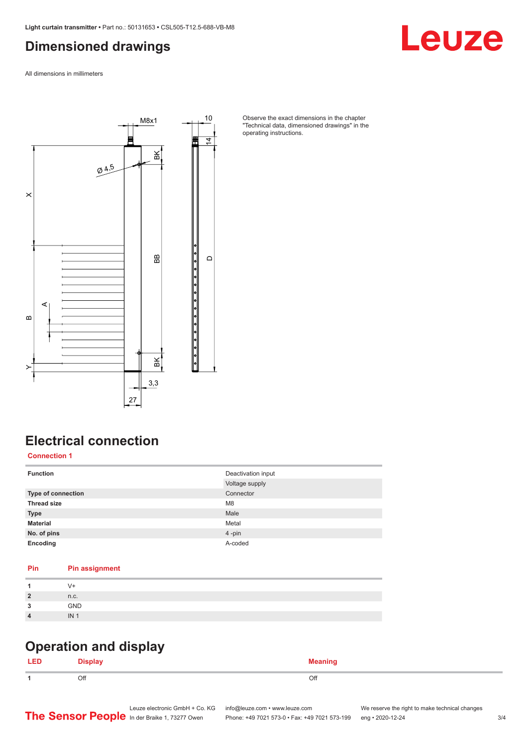#### <span id="page-2-0"></span>**Dimensioned drawings**

Leuze

All dimensions in millimeters



Observe the exact dimensions in the chapter "Technical data, dimensioned drawings" in the operating instructions.

#### **Electrical connection**

**Connection 1**

| <b>Function</b>    | Deactivation input |
|--------------------|--------------------|
|                    | Voltage supply     |
| Type of connection | Connector          |
| <b>Thread size</b> | M <sub>8</sub>     |
| <b>Type</b>        | Male               |
| <b>Material</b>    | Metal              |
| No. of pins        | 4-pin              |
| Encoding           | A-coded            |

#### **Pin Pin assignment**

|                      | V+              |
|----------------------|-----------------|
| $\overline{2}$       | n.c.            |
| $\overline{ }$<br>ر. | GND             |
| $\overline{4}$       | IN <sub>1</sub> |
|                      |                 |

#### **Operation and display**

| LEI | <b>Nienlaw</b> | <b>Meaning</b><br>--- <del>-</del> ----- |
|-----|----------------|------------------------------------------|
|     | Off            | Off                                      |